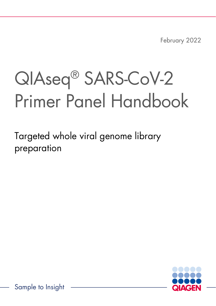February 2022

# QIAseq® SARS-CoV-2 Primer Panel Handbook

Targeted whole viral genome library preparation



Sample to Insight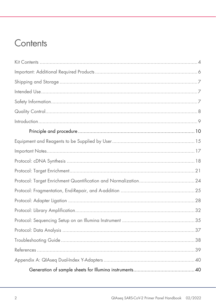### Contents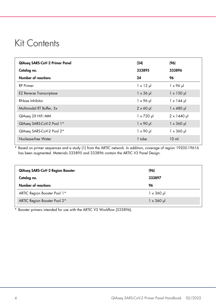### <span id="page-3-0"></span>Kit Contents

| <b>QIAseg SARS-CoV-2 Primer Panel</b> | (24)              | (96)                       |
|---------------------------------------|-------------------|----------------------------|
| Catalog no.                           | 333895            | 333896                     |
| Number of reactions                   | 24                | 96                         |
| <b>RP</b> Primer                      | $1 \times 12 \mu$ | $1 \times 96$ µ            |
| <b>EZ Reverse Transcriptase</b>       | $1 \times 36$ µ   | $1 \times 150 \mu$         |
| RNase Inhibitor                       | $1 \times 96$ µ   | $1 \times 144$ µ           |
| Multimodal RT Buffer, 5x              | $2 \times 60 \mu$ | $1 \times 480$ µ           |
| QIAseq 2X HiFi MM                     | $1 \times 720$ µ  | $2 \times 1440 \text{ pl}$ |
| QIAseq SARS-CoV-2 Pool 1*             | $1 \times 90 \mu$ | $1 \times 360$ µ           |
| QIAseq SARS-CoV-2 Pool 2*             | $1 \times 90 \mu$ | $1 \times 360$ µ           |
| Nuclease-free Water                   | 1 tube            | 10 <sub>m</sub>            |

\* Based on primer sequences and a study [\(1\)](#page-38-1) from the ARTIC network. In addition, coverage of region 19205-19616 has been augmented. Materials 333895 and 333896 contain the ARTIC V3 Panel Design.

| QIAseq SARS-CoV-2 Region Booster<br>Catalog no. | (96)<br>333897    |
|-------------------------------------------------|-------------------|
| Number of reactions                             | 96                |
| ARTIC Region Booster Pool 1*                    | $1 \times 360$ pl |
| ARTIC Region Booster Pool 2*                    | $1 \times 360$ µ  |

\* Booster primers intended for use with the ARTIC V3 Workflow (333896).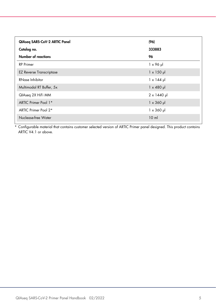| QIAseq SARS-CoV-2 ARTIC Panel   | (96)               |
|---------------------------------|--------------------|
| Catalog no.                     | 333883             |
| Number of reactions             | 96                 |
| <b>RP</b> Primer                | $1 \times 96$ pl   |
| <b>EZ Reverse Transcriptase</b> | $1 \times 150 \mu$ |
| RNase Inhibitor                 | $1 \times 144$ µ   |
| Multimodal RT Buffer, 5x        | $1 \times 480$ µ   |
| QIAseq 2X HiFi MM               | $2 \times 1440$ pl |
| ARTIC Primer Pool 1*            | $1 \times 360$ µ   |
| ARTIC Primer Pool 2*            | $1 \times 360$ µ   |
| Nuclease-free Water             | 10 <sub>m</sub>    |

\* Configurable material that contains customer selected version of ARTIC Primer panel designed. This product contains ARTIC V4.1 or above.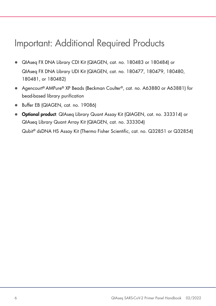### <span id="page-5-0"></span>Important: Additional Required Products

- QIAseq FX DNA Library CDI Kit (QIAGEN, cat. no. 180483 or 180484) or QIAseq FX DNA Library UDI Kit (QIAGEN, cat. no. 180477, 180479, 180480, 180481, or 180482)
- Agencourt® AMPure® XP Beads (Beckman Coulter®, cat. no. A63880 or A63881) for bead-based library purification
- Buffer EB (QIAGEN, cat. no. 19086)
- Optional product: QIAseq Library Quant Assay Kit (QIAGEN, cat. no. 333314) or QIAseq Library Quant Array Kit (QIAGEN, cat. no. 333304)

Qubit® dsDNA HS Assay Kit (Thermo Fisher Scientific, cat. no. Q32851 or Q32854)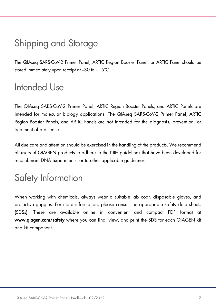# <span id="page-6-0"></span>Shipping and Storage

The QIAseq SARS-CoV-2 Primer Panel, ARTIC Region Booster Panel, or ARTIC Panel should be stored immediately upon receipt at –30 to −15°C.

### <span id="page-6-1"></span>Intended Use

The QIAseq SARS-CoV-2 Primer Panel, ARTIC Region Booster Panels, and ARTIC Panels are intended for molecular biology applications. The QIAseq SARS-CoV-2 Primer Panel, ARTIC Region Booster Panels, and ARTIC Panels are not intended for the diagnosis, prevention, or treatment of a disease.

All due care and attention should be exercised in the handling of the products. We recommend all users of QIAGEN products to adhere to the NIH guidelines that have been developed for recombinant DNA experiments, or to other applicable guidelines.

# <span id="page-6-2"></span>Safety Information

When working with chemicals, always wear a suitable lab coat, disposable gloves, and protective goggles. For more information, please consult the appropriate safety data sheets (SDSs). These are available online in convenient and compact PDF format at www.qiagen.com/safety where you can find, view, and print the SDS for each QIAGEN kit and kit component.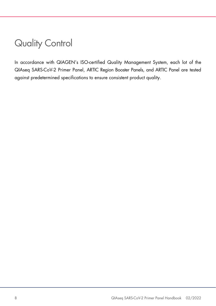# <span id="page-7-0"></span>Quality Control

In accordance with QIAGEN's ISO-certified Quality Management System, each lot of the QIAseq SARS-CoV-2 Primer Panel, ARTIC Region Booster Panels, and ARTIC Panel are tested against predetermined specifications to ensure consistent product quality.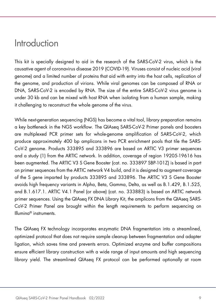### <span id="page-8-0"></span>Introduction

This kit is specially designed to aid in the research of the SARS-CoV-2 virus, which is the causative agent of coronavirus disease 2019 (COVID-19). Viruses consist of nucleic acid (viral genome) and a limited number of proteins that aid with entry into the host cells, replication of the genome, and production of virions. While viral genomes can be composed of RNA or DNA, SARS-CoV-2 is encoded by RNA. The size of the entire SARS-CoV-2 virus genome is under 30 kb and can be mixed with host RNA when isolating from a human sample, making it challenging to reconstruct the whole genome of the virus.

While next-generation sequencing (NGS) has become a vital tool, library preparation remains a key bottleneck in the NGS workflow. The QIAseq SARS-CoV-2 Primer panels and boosters are multiplexed PCR primer sets for whole-genome amplification of SARS-CoV-2, which produce approximately 400 bp amplicons in two PCR enrichment pools that tile the SARS-CoV-2 genome. Products 333895 and 333896 are based on ARTIC V3 primer sequences and a study [\(1\)](#page-38-1) from the ARTIC network. In addition, coverage of region 19205-19616 has been augmented. The ARTIC V3 S Gene Booster (cat. no. 333897 SBP-101Z) is based in part on primer sequences from the ARTIC network V4 build, and it is designed to augment coverage of the S gene imparted by products 333895 and 333896. The ARTIC V3 S Gene Booster avoids high frequency variants in Alpha, Beta, Gamma, Delta, as well as B.1.429, B.1.525, and B.1.617.1. ARTIC V4.1 Panel (or above) (cat. no. 333883) is based on ARTIC network primer sequences. Using the QIAseq FX DNA Library Kit, the amplicons from the QIAseq SARS-CoV-2 Primer Panel are brought within the length requirements to perform sequencing on Illumina® instruments.

The QIAseq FX technology incorporates enzymatic DNA fragmentation into a streamlined, optimized protocol that does not require sample cleanup between fragmentation and adapter ligation, which saves time and prevents errors. Optimized enzyme and buffer compositions ensure efficient library construction with a wide range of input amounts and high sequencing library yield. The streamlined QIAseq FX protocol can be performed optionally at room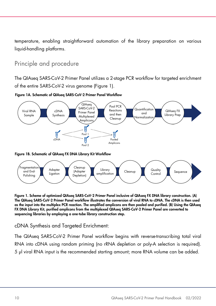temperature, enabling straightforward automation of the library preparation on various liauid-handling platforms.

### <span id="page-9-0"></span>Principle and procedure

The QIAseq SARS-CoV-2 Primer Panel utilizes a 2-stage PCR workflow for targeted enrichment of the entire SARS-CoV-2 virus genome [\(Figure 1\).](#page-9-1)





Figure 1B. Schematic of QIAseq FX DNA Library Kit Workflow



<span id="page-9-1"></span>Figure 1. Scheme of optimized QIAseq SARS-CoV-2 Primer Panel inclusive of QIAseq FX DNA library construction. (A) The QIAseq SARS-CoV-2 Primer Panel workflow illustrates the conversion of viral RNA to cDNA. The cDNA is then used as the input into the multiplex PCR reaction. The amplified amplicons are then pooled and purified. (B) Using the QIAseq FX DNA Library Kit, purified amplicons from the multiplexed QIAseq SARS-CoV-2 Primer Panel are converted to sequencing libraries by employing a one-tube library construction step.

cDNA Synthesis and Targeted Enrichment:

The QIAseq SARS-CoV-2 Primer Panel workflow begins with reverse-transcribing total viral RNA into cDNA using random priming (no rRNA depletion or poly-A selection is required). 5 µl viral RNA input is the recommended starting amount; more RNA volume can be added.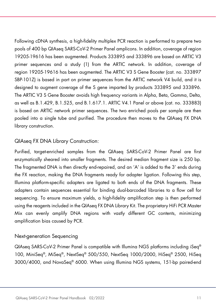Following cDNA synthesis, a high-fidelity multiplex PCR reaction is performed to prepare two pools of 400 bp QIAseq SARS-CoV-2 Primer Panel amplicons. In addition, coverage of region 19205-19616 has been augmented. Products 333895 and 333896 are based on ARTIC V3 primer sequences and a study [\(1\)](#page-38-1) from the ARTIC network. In addition, coverage of region 19205-19616 has been augmented. The ARTIC V3 S Gene Booster (cat. no. 333897 SBP-101Z) is based in part on primer sequences from the ARTIC network V4 build, and it is designed to augment coverage of the S gene imparted by products 333895 and 333896. The ARTIC V3 S Gene Booster avoids high frequency variants in Alpha, Beta, Gamma, Delta, as well as B.1.429, B.1.525, and B.1.617.1. ARTIC V4.1 Panel or above (cat. no. 333883) is based on ARTIC network primer sequences. The two enriched pools per sample are then pooled into a single tube and purified. The procedure then moves to the QIAseq FX DNA library construction.

#### QIAseq FX DNA Library Construction:

Purified, target-enriched samples from the QIAseq SARS-CoV-2 Primer Panel are first enzymatically sheared into smaller fragments. The desired median fragment size is 250 bp. The fragmented DNA is then directly end-repaired, and an 'A' is added to the 3' ends during the FX reaction, making the DNA fragments ready for adapter ligation. Following this step, Illumina platform-specific adapters are ligated to both ends of the DNA fragments. These adapters contain sequences essential for binding dual-barcoded libraries to a flow cell for sequencing. To ensure maximum yields, a high-fidelity amplification step is then performed using the reagents included in the QIAseq FX DNA Library Kit. The proprietary HiFi PCR Master Mix can evenly amplify DNA regions with vastly different GC contents, minimizing amplification bias caused by PCR.

#### Next-generation Sequencing

QIAseq SARS-CoV-2 Primer Panel is compatible with Illumina NGS platforms including iSeq® 100, MiniSeq®, MiSeq®, NextSeq® 500/550, NextSeq 1000/2000, HiSeq® 2500, HiSeq 3000/4000, and NovaSeq® 6000. When using Illumina NGS systems, 151-bp paired-end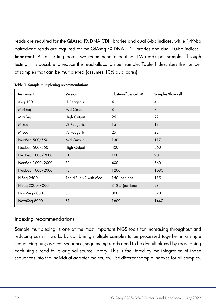reads are required for the QIAseq FX DNA CDI libraries and dual 8-bp indices, while 149-bp paired-end reads are required for the QIAseq FX DNA UDI libraries and dual 10-bp indices. Important: As a starting point, we recommend allocating 1M reads per sample. Through testing, it is possible to reduce the read allocation per sample. [Table 1](#page-11-0) describes the number of samples that can be multiplexed (assumes 10% duplicates).

| Instrument        | Clusters/flow cell (M)<br>Version |                  | Samples/flow cell        |  |
|-------------------|-----------------------------------|------------------|--------------------------|--|
| iSeq 100          | il Reagents                       | 4                | $\overline{\mathcal{A}}$ |  |
| MiniSeq           | Mid Output                        | 8                | $\overline{7}$           |  |
| MiniSeq           | <b>High Output</b>                | 25               | 22                       |  |
| MiSeq             | v2 Reagents                       | 15               | 13                       |  |
| MiSeq             | v3 Reagents                       | 25               | 22                       |  |
| NextSeq 500/550   | Mid Output                        | 130              | 117                      |  |
| NextSeq 500/550   | High Output                       | 400              | 360                      |  |
| NextSeq 1000/2000 | P <sub>1</sub>                    | 100              | 90                       |  |
| NextSeq 1000/2000 | P <sub>2</sub>                    | 400              | 360                      |  |
| NextSeq 1000/2000 | P <sub>3</sub>                    | 1200             | 1080                     |  |
| HiSeq 2500        | Rapid Run v2 with cBot            | 150 (per lane)   | 135                      |  |
| HiSeg 3000/4000   |                                   | 312.5 (per lane) | 281                      |  |
| NovaSeq 6000      | <b>SP</b>                         | 800              | 720                      |  |
| NovaSeq 6000      | S <sub>1</sub>                    | 1600             | 1440                     |  |

<span id="page-11-0"></span>Table 1. Sample multiplexing recommendations

#### Indexing recommendations

Sample multiplexing is one of the most important NGS tools for increasing throughput and reducing costs. It works by combining multiple samples to be processed together in a single sequencing run; as a consequence, sequencing reads need to be demultiplexed by reassigning each single read to its original source library. This is facilitated by the integration of index sequences into the individual adapter molecules. Use different sample indexes for all samples.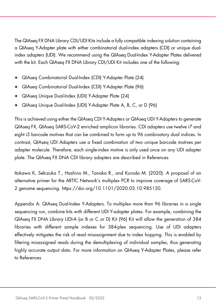The QIAseq FX DNA Library CDI/UDI Kits include a fully compatible indexing solution containing a QIAseq Y-Adapter plate with either combinatorial dual-index adapters (CDI) or unique dualindex adapters (UDI). We recommend using the QIAseq Dual-Index Y-Adapter Plates delivered with the kit. Each QIAseq FX DNA Library CDI/UDI Kit includes one of the following:

- QIAseq Combinatorial Dual-Index (CDI) Y-Adapter Plate (24)
- QIAseq Combinatorial Dual-Index (CDI) Y-Adapter Plate (96)
- QIAseq Unique Dual-Index (UDI) Y-Adapter Plate (24)
- QIAseq Unique Dual-Index (UDI) Y-Adapter Plate A, B, C, or D (96)

This is achieved using either the QIAseq CDI Y-Adapters or QIAseq UDI Y-Adapters to generate QIAseq FX, QIAseq SARS-CoV-2 enriched amplicon libraries. CDI adapters use twelve i7 and eight i5 barcode motives that can be combined to form up to 96 combinatory dual indices. In contrast, QIAseq UDI Adapters use a fixed combination of two unique barcode motives per adapter molecule. Therefore, each single-index motive is only used once on any UDI adapter plate. The QIAseq FX DNA CDI library adapters are described in [References](#page-38-0)

[Itokawa K, Sekizuka T., Hashino M., Tanaka R., and Kuroda M. \(2020\). A proposal of an](#page-38-0)  [alternative primer for the ARTIC Network's multiplex PCR to improve coverage of SARS-CoV-](#page-38-0)2 genome sequencing. [https://doi.org/10.1101/2020.03.10.985150.](#page-38-0)

[Appendix A: QIAseq Dual-Index Y-Adapters.](#page-38-0) To multiplex more than 96 libraries in a single sequencing run, combine kits with different UDI Y-adapter plates. For example, combining the QIAseq FX DNA Library UDI-A (or B or C or D) Kit (96) Kit will allow the generation of 384 libraries with different sample indexes for 384-plex sequencing. Use of UDI adapters effectively mitigates the risk of read misassignment due to index hopping. This is enabled by filtering misassigned reads during the demultiplexing of individual samples, thus generating highly accurate output data. For more information on QIAseq Y-Adapter Plates, please refer to [References](#page-38-0)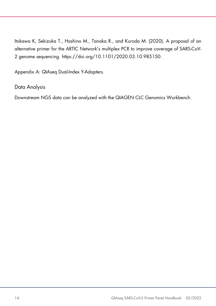[Itokawa K, Sekizuka T., Hashino M., Tanaka R., and Kuroda M. \(2020\). A proposal of an](#page-38-0)  [alternative primer for the ARTIC Network's multiplex PCR to improve coverage of SARS-CoV-](#page-38-0)2 genome sequencing. [https://doi.org/10.1101/2020.03.10.985150.](#page-38-0)

[Appendix A: QIAseq Dual-Index Y-Adapters.](#page-38-0)

Data Analysis

Downstream NGS data can be analyzed with the QIAGEN CLC Genomics Workbench.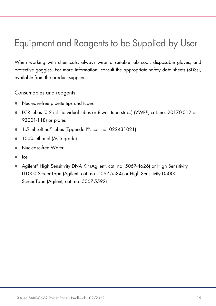# <span id="page-14-0"></span>Equipment and Reagents to be Supplied by User

When working with chemicals, always wear a suitable lab coat, disposable gloves, and protective goggles. For more information, consult the appropriate safety data sheets (SDSs), available from the product supplier.

Consumables and reagents

- Nuclease-free pipette tips and tubes
- PCR tubes (0.2 ml individual tubes or 8-well tube strips) (VWR®, cat. no. 20170-012 or 93001-118) or plates
- 1.5 ml LoBind® tubes (Eppendorf®, cat. no. 022431021)
- 100% ethanol (ACS grade)
- Nuclease-free Water
- Ice
- Agilent<sup>®</sup> High Sensitivity DNA Kit (Agilent, cat. no. 5067-4626) or High Sensitivity D1000 ScreenTape (Agilent, cat. no. 5067-5584) or High Sensitivity D5000 ScreenTape (Agilent, cat. no. 5067-5592)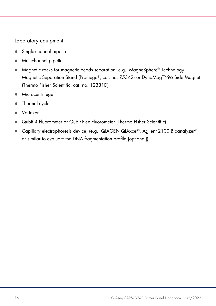#### Laboratory equipment

- **Single-channel pipette**
- Multichannel pipette
- Magnetic racks for magnetic beads separation, e.g., MagneSphere® Technology Magnetic Separation Stand (Promega®, cat. no. Z5342) or DynaMag™-96 Side Magnet (Thermo Fisher Scientific, cat. no. 12331D)
- **•** Microcentrifuge
- Thermal cycler
- Vortexer
- Qubit 4 Fluorometer or Qubit Flex Fluorometer (Thermo Fisher Scientific)
- Capillary electrophoresis device, (e.g., QIAGEN QIAxcel®, Agilent 2100 Bioanalyzer®, or similar to evaluate the DNA fragmentation profile [optional])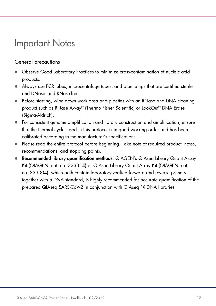### <span id="page-16-0"></span>Important Notes

### General precautions

- Observe Good Laboratory Practices to minimize cross-contamination of nucleic acid products.
- Always use PCR tubes, microcentrifuge tubes, and pipette tips that are certified sterile and DNase- and RNase-free.
- Before starting, wipe down work area and pipettes with an RNase and DNA cleaning product such as RNase Away® (Thermo Fisher Scientific) or LookOut® DNA Erase (Sigma-Aldrich).
- For consistent genome amplification and library construction and amplification, ensure that the thermal cycler used in this protocol is in good working order and has been calibrated according to the manufacturer's specifications.
- Please read the entire protocol before beginning. Take note of required product, notes, recommendations, and stopping points.
- **Recommended library quantification methods:** QIAGEN's QIAseq Library Quant Assay Kit (QIAGEN, cat. no. 333314) or QIAseq Library Quant Array Kit (QIAGEN, cat. no. 333304), which both contain laboratory-verified forward and reverse primers together with a DNA standard, is highly recommended for accurate quantification of the prepared QIAseq SARS-CoV-2 in conjunction with QIAseq FX DNA libraries.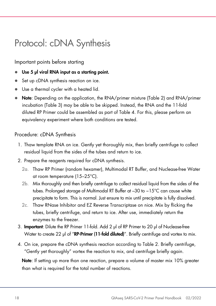# <span id="page-17-0"></span>Protocol: cDNA Synthesis

Important points before starting

- Use 5 µl viral RNA input as a starting point.
- Set up cDNA synthesis reaction on ice.
- Use a thermal cycler with a heated lid.
- Note: Depending on the application, the RNA/primer mixture [\(Table 2\)](#page-18-0) and RNA/primer incubation [\(Table 3\)](#page-18-1) may be able to be skipped. Instead, the RNA and the 11-fold diluted RP Primer could be assembled as part of [Table 4.](#page-18-2) For this, please perform an equivalency experiment where both conditions are tested.

### Procedure: cDNA Synthesis

- 1. Thaw template RNA on ice. Gently yet thoroughly mix, then briefly centrifuge to collect residual liquid from the sides of the tubes and return to ice.
- 2. Prepare the reagents required for cDNA synthesis.
	- 2a. Thaw RP Primer (random hexamer), Multimodal RT Buffer, and Nuclease-free Water at room temperature (15–25°C).
	- 2b. Mix thoroughly and then briefly centrifuge to collect residual liquid from the sides of the tubes. Prolonged storage of Multimodal RT Buffer at –30 to −15°C can cause white precipitate to form. This is normal. Just ensure to mix until precipitate is fully dissolved.
	- 2c. Thaw RNase Inhibitor and EZ Reverse Transcriptase on nice. Mix by flicking the tubes, briefly centrifuge, and return to ice. After use, immediately return the enzymes to the freezer.
- 3. Important: Dilute the RP Primer 11-fold. Add 2 μl of RP Primer to 20 μl of Nuclease-free Water to create 22 μl of "**RP-Primer (11-fold diluted**)". Briefly centrifuge and vortex to mix.
- 4. On ice, prepare the cDNA synthesis reaction according to Table 2. Briefly centrifuge, "Gently yet thoroughly" vortex the reaction to mix, and centrifuge briefly again.

Note: If setting up more than one reaction, prepare a volume of master mix 10% greater than what is required for the total number of reactions.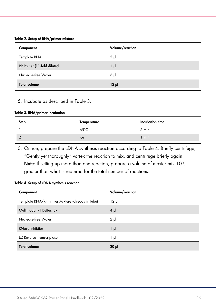#### <span id="page-18-0"></span>Table 2. Setup of RNA/primer mixture

| Component                   | Volume/reaction |
|-----------------------------|-----------------|
| Template RNA                | $5 \mu$         |
| RP Primer (11-fold diluted) | $1 \mu$         |
| Nuclease-free Water         | $6 \mu$         |
| <b>Total volume</b>         | $12 \mu$        |

#### 5. Incubate as described in Table 3.

#### <span id="page-18-1"></span>Table 3. RNA/primer incubation

| Step | Temperature    | Incubation time |
|------|----------------|-----------------|
|      | $65^{\circ}$ C | 5 min           |
|      | Ice            | min             |

6. On ice, prepare the cDNA synthesis reaction according to [Table 4.](#page-18-2) Briefly centrifuge, "Gently yet thoroughly" vortex the reaction to mix, and centrifuge briefly again. Note: If setting up more than one reaction, prepare a volume of master mix 10%

greater than what is required for the total number of reactions.

| Component                                        | Volume/reaction |
|--------------------------------------------------|-----------------|
| Template RNA/RP Primer Mixture (already in tube) | $12 \mu$        |
| Multimodal RT Buffer, 5x                         | $4 \mu$         |
| Nuclease-free Water                              | $2 \mu$         |
| RNase Inhibitor                                  | $1 \mu$         |
| <b>EZ Reverse Transcriptase</b>                  | 1 μl            |
| <b>Total volume</b>                              | $20 \mu$        |

#### <span id="page-18-2"></span>Table 4. Setup of cDNA synthesis reaction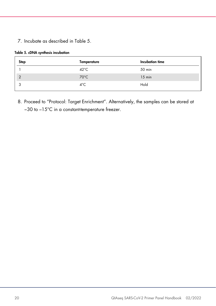7. Incubate as described in Table 5.

|  |  |  |  | Table 5. cDNA synthesis incubation |
|--|--|--|--|------------------------------------|
|--|--|--|--|------------------------------------|

| Step           | Temperature    | Incubation time |
|----------------|----------------|-----------------|
|                | $42^{\circ}$ C | 50 min          |
| $\overline{2}$ | $70^{\circ}$ C | $15$ min        |
|                | $4^{\circ}$ C  | Hold            |

8. Proceed to ["Protocol: Target Enrichment"](#page-20-0). Alternatively, the samples can be stored at −30 to –15°C in a constant-temperature freezer.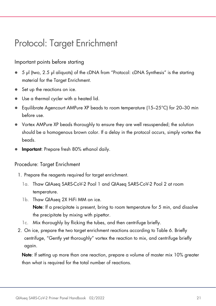## <span id="page-20-0"></span>Protocol: Target Enrichment

#### Important points before starting

- 5 µl (two, 2.5 µl aliquots) of the cDNA from ["Protocol: cDNA Synthesis"](#page-17-0) is the starting material for the Target Enrichment.
- Set up the reactions on ice.
- Use a thermal cycler with a heated lid.
- **Equilibrate Agencourt AMPure XP beads to room temperature (15–25°C) for 20–30 min** before use.
- Vortex AMPure XP beads thoroughly to ensure they are well resuspended; the solution should be a homogenous brown color. If a delay in the protocol occurs, simply vortex the beads.
- Important: Prepare fresh 80% ethanol daily.

#### Procedure: Target Enrichment

- 1. Prepare the reagents required for target enrichment.
	- 1a. Thaw QIAseq SARS-CoV-2 Pool 1 and QIAseq SARS-CoV-2 Pool 2 at room temperature.
	- 1b. Thaw QIAseq 2X HiFi MM on ice. Note: If a precipitate is present, bring to room temperature for 5 min, and dissolve the precipitate by mixing with pipettor.
	- 1c. Mix thoroughly by flicking the tubes, and then centrifuge briefly.
- 2. On ice, prepare the two target enrichment reactions according to [Table 6.](#page-21-0) Briefly centrifuge, "Gently yet thoroughly" vortex the reaction to mix, and centrifuge briefly again.

Note: If setting up more than one reaction, prepare a volume of master mix 10% greater than what is required for the total number of reactions.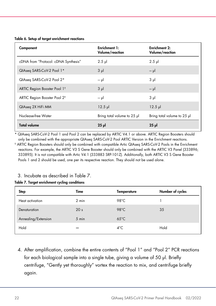<span id="page-21-0"></span>

|  |  |  | Table 6. Setup of target enrichment reactions |  |
|--|--|--|-----------------------------------------------|--|
|--|--|--|-----------------------------------------------|--|

| Component                                | Enrichment 1:<br>Volume/reaction | <b>Enrichment 2:</b><br>Volume/reaction |
|------------------------------------------|----------------------------------|-----------------------------------------|
| cDNA from "Protocol: cDNA Synthesis"     | $2.5$ $\mu$                      | $2.5$ pl                                |
| QIAseq SARS-CoV-2 Pool 1*                | $3 \mu$                          | $-\mu$                                  |
| QIAseg SARS-CoV-2 Pool 2*                | $-\mu$                           | $3 \mu$                                 |
| ARTIC Region Booster Pool 1 <sup>t</sup> | $3 \mu$                          | $-\mu$                                  |
| ARTIC Region Booster Pool 2 <sup>+</sup> | $-\mu$                           | $3 \mu$                                 |
| QIAseq 2X HiFi MM                        | $12.5$ pl                        | $12.5$ pl                               |
| Nuclease-free Water                      | Bring total volume to 25 µl      | Bring total volume to 25 µl             |
| <b>Total volume</b>                      | $25$ $\mu$                       | $25$ $\mu$                              |

\* QIAseq SARS-CoV-2 Pool 1 and Pool 2 can be replaced by ARTIC V4.1 or above. ARTIC Region Boosters should only be combined with the appropriate QIAseq SARS-CoV-2 Pool ARTIC Version in the Enrichment reactions.

† ARTIC Region Boosters should only be combined with compatible Artic QIAseq SARS-CoV-2 Pools in the Enrichment reactions. For example, the ARTIC V3 S Gene Booster should only be combined with the ARTIC V3 Panel (333896; 333895). It is not compatible with Artic V4.1 (333883 SRP-101Z). Additionally, both ARTIC V3 S Gene Booster Pools 1 and 2 should be used, one per its respective reaction. They should not be used alone.

#### 3. Incubate as described in [Table 7.](#page-21-1)

#### <span id="page-21-1"></span>Table 7. Target enrichment cycling conditions

| <b>Step</b>         | Time            | <b>Temperature</b> | Number of cycles |
|---------------------|-----------------|--------------------|------------------|
| Heat activation     | $2 \text{ min}$ | 98°C               |                  |
| Denaturation        | 20 <sub>s</sub> | $98^{\circ}$ C     | 35               |
| Annealing/Extension | 5 min           | $65^{\circ}$ C     |                  |
| Hold                | $\infty$        | $4^{\circ}$ C      | Hold             |

4. After amplification, combine the entire contents of "Pool 1" and "Pool 2" PCR reactions for each biological sample into a single tube, giving a volume of 50 µl. Briefly centrifuge, "Gently yet thoroughly" vortex the reaction to mix, and centrifuge briefly again.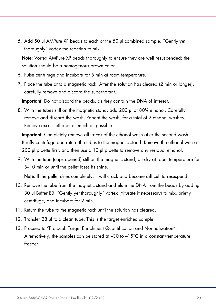5. Add 50 µl AMPure XP beads to each of the 50 µl combined sample. "Gently yet thoroughly" vortex the reaction to mix.

Note: Vortex AMPure XP beads thoroughly to ensure they are well resuspended; the solution should be a homogenous brown color.

- 6. Pulse centrifuge and incubate for 5 min at room temperature.
- 7. Place the tube onto a magnetic rack. After the solution has cleared (2 min or longer), carefully remove and discard the supernatant.

Important: Do not discard the beads, as they contain the DNA of interest.

8. With the tubes still on the magnetic stand, add 200 µl of 80% ethanol. Carefully remove and discard the wash. Repeat the wash, for a total of 2 ethanol washes. Remove excess ethanol as much as possible.

Important: Completely remove all traces of the ethanol wash after the second wash. Briefly centrifuge and return the tubes to the magnetic stand. Remove the ethanol with a 200 µl pipette first, and then use a 10 µl pipette to remove any residual ethanol.

9. With the tube (caps opened) still on the magnetic stand, air-dry at room temperature for 5–10 min or until the pellet loses its shine.

Note: If the pellet dries completely, it will crack and become difficult to resuspend.

- 10. Remove the tube from the magnetic stand and elute the DNA from the beads by adding 30 µl Buffer EB. "Gently yet thoroughly" vortex (triturate if necessary) to mix, briefly centrifuge, and incubate for 2 min.
- 11. Return the tube to the magnetic rack until the solution has cleared.
- 12. Transfer 28 µl to a clean tube. This is the target enriched sample.
- 13. Proceed to ["Protocol: Target Enrichment Quantification and Normalization"](#page-23-0). Alternatively, the samples can be stored at –30 to –15°C in a constant-temperature freezer.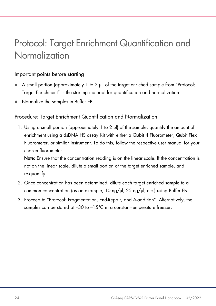# <span id="page-23-0"></span>Protocol: Target Enrichment Quantification and Normalization

#### Important points before starting

- A small portion (approximately 1 to 2 µl) of the target enriched sample from ["Protocol:](#page-20-0)  [Target Enrichment"](#page-20-0) is the starting material for quantification and normalization.
- Normalize the samples in Buffer EB.

#### Procedure: Target Enrichment Quantification and Normalization

1. Using a small portion (approximately 1 to 2 µl) of the sample, quantify the amount of enrichment using a dsDNA HS assay Kit with either a Qubit 4 Fluorometer, Qubit Flex Fluorometer, or similar instrument. To do this, follow the respective user manual for your chosen fluorometer.

Note: Ensure that the concentration reading is on the linear scale. If the concentration is not on the linear scale, dilute a small portion of the target enriched sample, and re-quantify.

- 2. Once concentration has been determined, dilute each target enriched sample to a common concentration (as an example, 10 ng/µl, 25 ng/µl, etc.) using Buffer EB.
- 3. Proceed to ["Protocol: Fragmentation, End-Repair,](#page-24-0) and A-addition". Alternatively, the samples can be stored at -30 to -15°C in a constant-temperature freezer.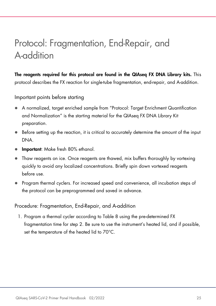# <span id="page-24-0"></span>Protocol: Fragmentation, End-Repair, and A-addition

The reagents required for this protocol are found in the QIAseq FX DNA Library kits. This protocol describes the FX reaction for single-tube fragmentation, end-repair, and A-addition.

Important points before starting

- A normalized, target enriched sample from ["Protocol: Target Enrichment Quantification](#page-23-0)  [and Normalization"](#page-23-0) is the starting material for the QIAseq FX DNA Library Kit preparation.
- Before setting up the reaction, it is critical to accurately determine the amount of the input DNA.
- **Important:** Make fresh 80% ethanol.
- Thaw reagents on ice. Once reagents are thawed, mix buffers thoroughly by vortexing quickly to avoid any localized concentrations. Briefly spin down vortexed reagents before use.
- Program thermal cyclers. For increased speed and convenience, all incubation steps of the protocol can be preprogrammed and saved in advance.

Procedure: Fragmentation, End-Repair, and A-addition

1. Program a thermal cycler according to [Table 8](#page-25-0) using the pre-determined FX fragmentation time for step 2. Be sure to use the instrument's heated lid, and if possible, set the temperature of the heated lid to 70°C.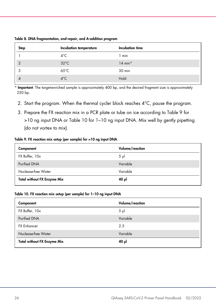| <b>Step</b>    | Incubation temperature | Incubation time |
|----------------|------------------------|-----------------|
|                | $4^{\circ}$ C          | 1 min           |
| $\overline{2}$ | $32^{\circ}$ C         | $14 min*$       |
| ◠              | $65^{\circ}$ C         | 30 min          |
| $\overline{4}$ | $4^{\circ}$ C          | Hold            |

<span id="page-25-0"></span>Table 8. DNA fragmentation, end-repair, and A-addition program

\* Important: The target-enriched sample is approximately 400 bp, and the desired fragment size is approximately 250 bp.

- 2. Start the program. When the thermal cycler block reaches 4°C, pause the program.
- 3. Prepare the FX reaction mix in a PCR plate or tube on ice according to [Table 9](#page-25-1) for >10 ng input DNA or [Table 10](#page-25-2) for 1–10 ng input DNA. Mix well by gently pipetting (do not vortex to mix).

#### <span id="page-25-1"></span>Table 9. FX reaction mix setup (per sample) for >10 ng input DNA

| Component                          | Volume/reaction |
|------------------------------------|-----------------|
| FX Buffer, 10x                     | $5 \mu$         |
| <b>Purified DNA</b>                | Variable        |
| Nuclease-free Water                | Variable        |
| <b>Total without FX Enzyme Mix</b> | ار 40           |

#### <span id="page-25-2"></span>Table 10. FX reaction mix setup (per sample) for 1–10 ng input DNA

| Component                          | Volume/reaction |
|------------------------------------|-----------------|
| FX Buffer, 10x                     | $5 \mu$         |
| <b>Purified DNA</b>                | Variable        |
| <b>FX Enhancer</b>                 | 2.5             |
| Nuclease-free Water                | Variable        |
| <b>Total without FX Enzyme Mix</b> | ار 40           |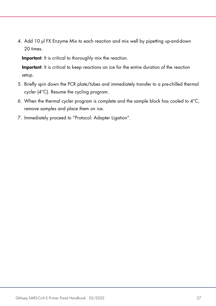4. Add 10 µl FX Enzyme Mix to each reaction and mix well by pipetting up-and-down 20 times.

Important: It is critical to thoroughly mix the reaction.

Important: It is critical to keep reactions on ice for the entire duration of the reaction setup.

- 5. Briefly spin down the PCR plate/tubes and immediately transfer to a pre-chilled thermal cycler (4°C). Resume the cycling program.
- 6. When the thermal cycler program is complete and the sample block has cooled to  $4^{\circ}$ C. remove samples and place them on ice.
- 7. Immediately proceed to ["Protocol: Adapter Ligation"](#page-27-0).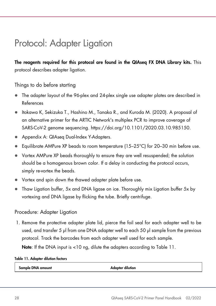### <span id="page-27-0"></span>Protocol: Adapter Ligation

The reagents required for this protocol are found in the QIAseq FX DNA Library kits. This protocol describes adapter ligation.

Things to do before starting

- The adapter layout of the 96-plex and 24-plex single use adapter plates are described in [References](#page-38-0)
- [Itokawa K, Sekizuka T., Hashino M., Tanaka R., and Kuroda M. \(2020\). A proposal of](#page-38-0)  [an alternative primer for the ARTIC Network's multiplex PCR to improve coverage of](#page-38-0)  SARS-CoV-2 genome sequencing. [https://doi.org/10.1101/2020.03.10.985150.](#page-38-0)
- [Appendix A: QIAseq Dual-Index Y-Adapters.](#page-38-0)
- **Equilibrate AMPure XP beads to room temperature (15–25°C) for 20–30 min before use.**
- Vortex AMPure XP beads thoroughly to ensure they are well resuspended; the solution should be a homogenous brown color. If a delay in conducting the protocol occurs, simply re-vortex the beads.
- Vortex and spin down the thawed adapter plate before use.
- Thaw Ligation buffer, 5x and DNA ligase on ice. Thoroughly mix Ligation buffer 5x by vortexing and DNA ligase by flicking the tube. Briefly centrifuge.

#### Procedure: Adapter Ligation

1. Remove the protective adapter plate lid, pierce the foil seal for each adapter well to be used, and transfer 5 µl from one DNA adapter well to each 50 µl sample from the previous protocol. Track the barcodes from each adapter well used for each sample.

Note: If the DNA input is <10 ng, dilute the adapters according to [Table 11.](#page-27-1)

#### <span id="page-27-1"></span>Table 11. Adapter dilution factors

Sample DNA amount and a series of the Adapter dilution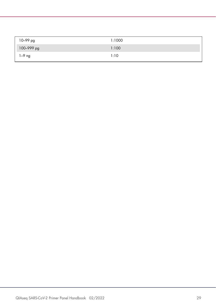| 10–99 pg   | 1:1000 |
|------------|--------|
| 100-999 pg | 1:100  |
| $1-9$ ng   | 1:10   |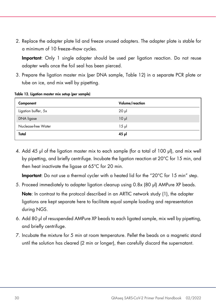2. Replace the adapter plate lid and freeze unused adapters. The adapter plate is stable for a minimum of 10 freeze–thaw cycles.

Important: Only 1 single adapter should be used per ligation reaction. Do not reuse adapter wells once the foil seal has been pierced.

3. Prepare the ligation master mix (per DNA sample, [Table 12\)](#page-29-0) in a separate PCR plate or tube on ice, and mix well by pipetting.

| Component           | Volume/reaction |
|---------------------|-----------------|
| Ligation buffer, 5x | $20 \mu$        |
| DNA ligase          | $10 \mu$        |
| Nuclease-free Water | $15 \mu$        |
| Total               | $45$ pl         |

<span id="page-29-0"></span>Table 12. Ligation master mix setup (per sample)

4. Add 45 µl of the ligation master mix to each sample (for a total of 100 µl), and mix well by pipetting, and briefly centrifuge. Incubate the ligation reaction at 20°C for 15 min, and then heat inactivate the ligase at 65°C for 20 min.

Important: Do not use a thermal cycler with a heated lid for the "20°C for 15 min" step.

- 5. Proceed immediately to adapter ligation cleanup using 0.8x (80 µl) AMPure XP beads. Note: In contrast to the protocol described in an ARTIC network study [\(1\)](#page-38-1), the adapter ligations are kept separate here to facilitate equal sample loading and representation during NGS.
- 6. Add 80 µl of resuspended AMPure XP beads to each ligated sample, mix well by pipetting, and briefly centrifuge.
- 7. Incubate the mixture for 5 min at room temperature. Pellet the beads on a magnetic stand until the solution has cleared (2 min or longer), then carefully discard the supernatant.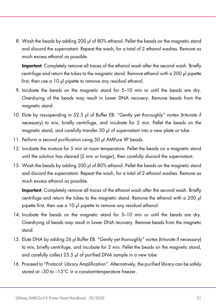8. Wash the beads by adding 200 µl of 80% ethanol. Pellet the beads on the magnetic stand and discard the supernatant. Repeat the wash, for a total of 2 ethanol washes. Remove as much excess ethanol as possible.

Important: Completely remove all traces of the ethanol wash after the second wash. Briefly centrifuge and return the tubes to the magnetic stand. Remove ethanol with a 200 µl pipette first, then use a 10 µl pipette to remove any residual ethanol.

- 9. Incubate the beads on the magnetic stand for 5–10 min or until the beads are dry. Overdrying of the beads may result in lower DNA recovery. Remove beads from the magnetic stand.
- 10. Elute by resuspending in 52.5 µl of Buffer EB. "Gently yet thoroughly" vortex (triturate if necessary) to mix, briefly centrifuge, and incubate for 2 min. Pellet the beads on the magnetic stand, and carefully transfer 50 µl of supernatant into a new plate or tube.
- 11. Perform a second purification using 50 µl AMPure XP beads.
- 12. Incubate the mixture for 5 min at room temperature. Pellet the beads on a magnetic stand until the solution has cleared (2 min or longer), then carefully discard the supernatant.
- 13. Wash the beads by adding 200 µl of 80% ethanol. Pellet the beads on the magnetic stand and discard the supernatant. Repeat the wash, for a total of 2 ethanol washes. Remove as much excess ethanol as possible.

Important: Completely remove all traces of the ethanol wash after the second wash. Briefly centrifuge and return the tubes to the magnetic stand. Remove the ethanol with a 200 µl pipette first, then use a 10 µl pipette to remove any residual ethanol.

- 14. Incubate the beads on the magnetic stand for 5–10 min or until the beads are dry. Overdrying of beads may result in lower DNA recovery. Remove beads from the magnetic stand.
- 15. Elute DNA by adding 26 µl Buffer EB. "Gently yet thoroughly" vortex (triturate if necessary) to mix, briefly centrifuge, and incubate for 2 min. Pellet the beads on the magnetic stand, and carefully collect 23.5 µl of purified DNA sample in a new tube.
- 16. Proceed to ["Protocol: Library Amplification"](#page-31-0). Alternatively, the purified library can be safely stored at –30 to –15°C in a constant-temperature freezer.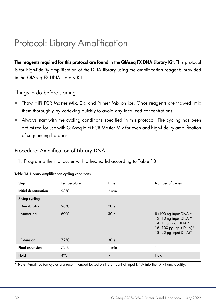# <span id="page-31-0"></span>Protocol: Library Amplification

The reagents required for this protocol are found in the QIAseq FX DNA Library Kit. This protocol is for high-fidelity amplification of the DNA library using the amplification reagents provided in the QIAseq FX DNA Library Kit.

#### Things to do before starting

- Thaw HiFi PCR Master Mix, 2x, and Primer Mix on ice. Once reagents are thawed, mix them thoroughly by vortexing quickly to avoid any localized concentrations.
- Always start with the cycling conditions specified in this protocol. The cycling has been optimized for use with QIAseq HiFi PCR Master Mix for even and high-fidelity amplification of sequencing libraries.

#### Procedure: Amplification of Library DNA

1. Program a thermal cycler with a heated lid according to [Table 13.](#page-31-1)

| <b>Step</b>            | <b>Temperature</b> | Time            | Number of cycles                                                                                                          |
|------------------------|--------------------|-----------------|---------------------------------------------------------------------------------------------------------------------------|
| Initial denaturation   | 98°C               | 2 min           |                                                                                                                           |
| 3-step cycling         |                    |                 |                                                                                                                           |
| Denaturation           | 98°C               | 20 <sub>s</sub> |                                                                                                                           |
| Annealing              | $60^{\circ}$ C     | 30 <sub>s</sub> | 8 (100 ng input DNA)*<br>12 (10 ng input DNA)*<br>14 (1 ng input DNA)*<br>16 (100 pg input DNA)*<br>18 (20 pg input DNA)* |
| Extension              | $72^{\circ}$ C     | 30 <sub>s</sub> |                                                                                                                           |
| <b>Final extension</b> | $72^{\circ}$ C     | 1 min           | л                                                                                                                         |
| Hold                   | $4^{\circ}$ C      | $\infty$        | Hold                                                                                                                      |

#### <span id="page-31-1"></span>Table 13. Library amplification cycling conditions

\* Note: Amplification cycles are recommended based on the amount of input DNA into the FX kit and quality.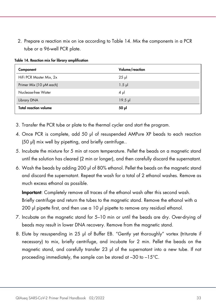2. Prepare a reaction mix on ice according to [Table 14.](#page-32-0) Mix the components in a PCR tube or a 96-well PCR plate.

| Component                    | Volume/reaction |
|------------------------------|-----------------|
| HiFi PCR Master Mix, 2x      | $25$ pl         |
| Primer Mix (10 µM each)      | $1.5$ pl        |
| Nuclease-free Water          | $4 \mu$         |
| Library DNA                  | $19.5$ pl       |
| <b>Total reaction volume</b> | $50$ $\mu$      |

<span id="page-32-0"></span>Table 14. Reaction mix for library amplification

- 3. Transfer the PCR tube or plate to the thermal cycler and start the program.
- 4. Once PCR is complete, add 50 µl of resuspended AMPure XP beads to each reaction (50 µl) mix well by pipetting, and briefly centrifuge..
- 5. Incubate the mixture for 5 min at room temperature. Pellet the beads on a magnetic stand until the solution has cleared (2 min or longer), and then carefully discard the supernatant.
- 6. Wash the beads by adding 200 µl of 80% ethanol. Pellet the beads on the magnetic stand and discard the supernatant. Repeat the wash for a total of 2 ethanol washes. Remove as much excess ethanol as possible.

Important: Completely remove all traces of the ethanol wash after this second wash. Briefly centrifuge and return the tubes to the magnetic stand. Remove the ethanol with a 200 µl pipette first, and then use a 10 µl pipette to remove any residual ethanol.

- 7. Incubate on the magnetic stand for 5–10 min or until the beads are dry. Over-drying of beads may result in lower DNA recovery. Remove from the magnetic stand.
- 8. Elute by resuspending in 25 µl of Buffer EB. "Gently yet thoroughly" vortex (triturate if necessary) to mix, briefly centrifuge, and incubate for 2 min. Pellet the beads on the magnetic stand, and carefully transfer 23 µl of the supernatant into a new tube. If not proceeding immediately, the sample can be stored at –30 to –15°C.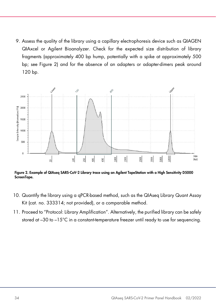9. Assess the quality of the library using a capillary electrophoresis device such as QIAGEN QIAxcel or Agilent Bioanalyzer. Check for the expected size distribution of library fragments (approximately 400 bp hump, potentially with a spike at approximately 500 bp; see [Figure 2\)](#page-33-0) and for the absence of an adapters or adapter-dimers peak around 120 bp.



<span id="page-33-0"></span>Figure 2. Example of QIAseq SARS-CoV-2 Library trace using an Agilent TapeStation with a High Sensitivity D5000 ScreenTape.

- 10. Quantify the library using a qPCR-based method, such as the QIAseq Library Quant Assay Kit (cat. no. 333314; not provided), or a comparable method.
- 11. Proceed to ["Protocol: Library Amplification"](#page-31-0). Alternatively, the purified library can be safely stored at –30 to –15°C in a constant-temperature freezer until ready to use for sequencing.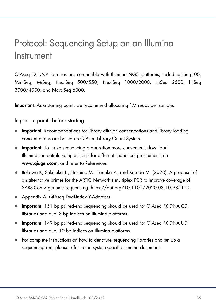### <span id="page-34-0"></span>Protocol: Sequencing Setup on an Illumina Instrument

QIAseq FX DNA libraries are compatible with Illumina NGS platforms, including iSeq100, MiniSeq, MiSeq, NextSeq 500/550, NextSeq 1000/2000, HiSeq 2500, HiSeq 3000/4000, and NovaSeq 6000.

Important: As a starting point, we recommend allocating 1M reads per sample.

Important points before starting

- Important: Recommendations for library dilution concentrations and library loading concentrations are based on QIAseq Library Quant System.
- **Important:** To make sequencing preparation more convenient, download Illumina-compatible sample sheets for different sequencing instruments on [www.qiagen.com](http://www.qiagen.com/), and refer to [References](#page-38-0)
- [Itokawa K, Sekizuka T., Hashino M., Tanaka R., and Kuroda M. \(2020\). A proposal of](#page-38-0)  [an alternative primer for the ARTIC Network's multiplex PCR to improve coverage of](#page-38-0)  SARS-CoV-2 genome sequencing. [https://doi.org/10.1101/2020.03.10.985150.](#page-38-0)
- [Appendix A: QIAseq Dual-Index Y-Adapters.](#page-38-0)
- **Important:** 151 bp paired-end sequencing should be used for QIAseq FX DNA CDI libraries and dual 8 bp indices on Illumina platforms.
- **Important:** 149 bp paired-end sequencing should be used for QIAseq FX DNA UDI libraries and dual 10 bp indices on Illumina platforms.
- For complete instructions on how to denature sequencing libraries and set up a sequencing run, please refer to the system-specific Illumina documents.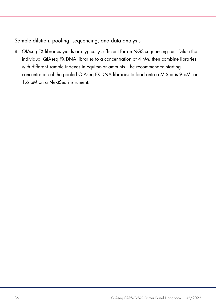Sample dilution, pooling, sequencing, and data analysis

 QIAseq FX libraries yields are typically sufficient for an NGS sequencing run. Dilute the individual QIAseq FX DNA libraries to a concentration of 4 nM, then combine libraries with different sample indexes in equimolar amounts. The recommended starting concentration of the pooled QIAseq FX DNA libraries to load onto a MiSeq is 9 pM, or 1.6 pM on a NextSeq instrument.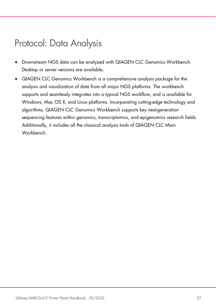### <span id="page-36-0"></span>Protocol: Data Analysis

- Downstream NGS data can be analyzed with QIAGEN CLC Genomics Workbench. Desktop or server versions are available.
- QIAGEN CLC Genomics Workbench is a comprehensive analysis package for the analysis and visualization of data from all major NGS platforms. The workbench supports and seamlessly integrates into a typical NGS workflow, and is available for Windows, Mac OS X, and Linux platforms. Incorporating cutting-edge technology and algorithms, QIAGEN CLC Genomics Workbench supports key next-generation sequencing features within genomics, transcriptomics, and epigenomics research fields. Additionally, it includes all the classical analysis tools of QIAGEN CLC Main Workbench.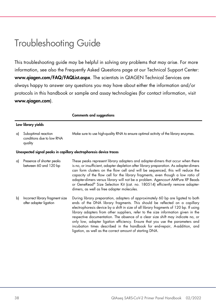## <span id="page-37-0"></span>Troubleshooting Guide

This troubleshooting guide may be helpful in solving any problems that may arise. For more information, see also the Frequently Asked Questions page at our Technical Support Center: www.qiagen.com/FAQ/FAQList.aspx. The scientists in QIAGEN Technical Services are always happy to answer any questions you may have about either the information and/or protocols in this handbook or sample and assay technologies (for contact information, visit www.qiagen.com).

|    |                                                             | <b>Comments and suggestions</b>                                                                                                                                                                                                                                                                                                                                                                                                                                                                                                                                                                                                                            |
|----|-------------------------------------------------------------|------------------------------------------------------------------------------------------------------------------------------------------------------------------------------------------------------------------------------------------------------------------------------------------------------------------------------------------------------------------------------------------------------------------------------------------------------------------------------------------------------------------------------------------------------------------------------------------------------------------------------------------------------------|
|    | Low library yields                                          |                                                                                                                                                                                                                                                                                                                                                                                                                                                                                                                                                                                                                                                            |
| a) | Suboptimal reaction<br>conditions due to low RNA<br>quality | Make sure to use high-quality RNA to ensure optimal activity of the library enzymes.                                                                                                                                                                                                                                                                                                                                                                                                                                                                                                                                                                       |
|    |                                                             | Unexpected signal peaks in capillary electrophoresis device traces                                                                                                                                                                                                                                                                                                                                                                                                                                                                                                                                                                                         |
| a) | Presence of shorter peaks<br>between 60 and 120 bp          | These peaks represent library adapters and adapter-dimers that occur when there<br>is no, or insufficient, adapter depletion after library preparation. As adapter-dimers<br>can form clusters on the flow cell and will be sequenced, this will reduce the<br>capacity of the flow cell for the library fragments, even though a low ratio of<br>adapter-dimers versus library will not be a problem. Agencourt AMPure XP Beads<br>or GeneRead® Size Selection Kit (cat. no. 180514) efficiently remove adapter-<br>dimers, as well as free adapter molecules.                                                                                            |
| b) | Incorrect library fragment size<br>after adapter ligation   | During library preparation, adapters of approximately 60 bp are ligated to both<br>ends of the DNA library fragments. This should be reflected on a capillary<br>electrophoresis device by a shift in size of all library fragments of 120 bp. If using<br>library adapters from other suppliers, refer to the size information given in the<br>respective documentation. The absence of a clear size shift may indicate no, or<br>only low, adapter ligation efficiency. Ensure that you use the parameters and<br>incubation times described in the handbook for end-repair, A-addition, and<br>ligation, as well as the correct amount of starting DNA. |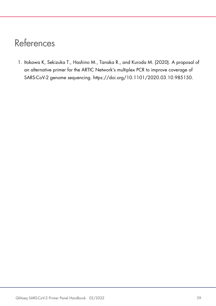## <span id="page-38-0"></span>References

<span id="page-38-1"></span>1. Itokawa K, Sekizuka T., Hashino M., Tanaka R., and Kuroda M. (2020). A proposal of an alternative primer for the ARTIC Network's multiplex PCR to improve coverage of SARS-CoV-2 genome sequencing. https://doi.org/10.1101/2020.03.10.985150.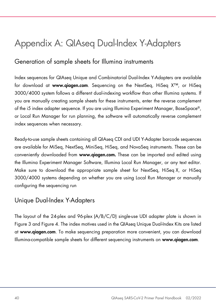# <span id="page-39-0"></span>Appendix A: QIAseq Dual-Index Y-Adapters

### <span id="page-39-1"></span>Generation of sample sheets for Illumina instruments

Index sequences for QIAseq Unique and Combinatorial Dual-Index Y-Adapters are available for download at www.qiagen.com. Sequencing on the NextSeq, HiSeq X™, or HiSeq 3000/4000 system follows a different dual-indexing workflow than other Illumina systems. If you are manually creating sample sheets for these instruments, enter the reverse complement of the i5 index adapter sequence. If you are using Illumina Experiment Manager, BaseSpace®, or Local Run Manager for run planning, the software will automatically reverse complement index sequences when necessary.

Ready-to-use sample sheets containing all QIAseq CDI and UDI Y-Adapter barcode sequences are available for MiSeq, NextSeq, MiniSeq, HiSeq, and NovaSeq instruments. These can be conveniently downloaded from www.qiagen.com. These can be imported and edited using the Illumina Experiment Manager Software, Illumina Local Run Manager, or any text editor. Make sure to download the appropriate sample sheet for NextSeq, HiSeq X, or HiSeq 3000/4000 systems depending on whether you are using Local Run Manager or manually configuring the sequencing run

### <span id="page-39-2"></span>Unique Dual-Index Y-Adapters

The layout of the 24-plex and 96-plex (A/B/C/D) single-use UDI adapter plate is shown in [Figure 3](#page-40-0) an[d Figure 4.](#page-40-1) The index motives used in the QIAseq Unique Dual-Index Kits are listed at www.qiagen.com. To make sequencing preparation more convenient, you can download Illumina-compatible sample sheets for different sequencing instruments on www.qiagen.com.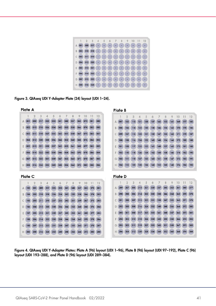

Figure 3. QIAseq UDI Y-Adapter Plate (24) layout (UDI 1–24).

<span id="page-40-0"></span>

<span id="page-40-1"></span>Figure 4. QIAseq UDI Y-Adapter Plates: Plate A (96) layout (UDI 1–96), Plate B (96) layout (UDI 97–192), Plate C (96) layout (UDI 193–288), and Plate D (96) layout (UDI 289–384).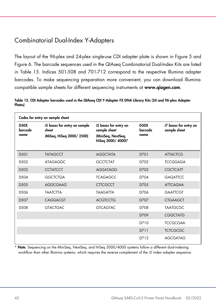### <span id="page-41-0"></span>Combinatorial Dual-Index Y-Adapters

The layout of the 96-plex and 24-plex single-use CDI adapter plate is shown in [Figure 5](#page-42-0) and [Figure 6.](#page-42-1) The barcode sequences used in the QIAseq Combinatorial Dual-Index Kits are listed in [Table 15.](#page-41-1) Indices 501-508 and 701-712 correspond to the respective Illumina adapter barcodes. To make sequencing preparation more convenient, you can download Illuminacompatible sample sheets for different sequencing instruments at [www.qiagen.com](http://www.qiagen.com/).

<span id="page-41-1"></span>Table 15. CDI Adapter barcodes used in the QIAseq CDI Y-Adapter FX DNA Library Kits (24 and 96-plex Adapter Plates)

|                                | Codes for entry on sample sheet                                    |                                                                                   |                                |                                       |
|--------------------------------|--------------------------------------------------------------------|-----------------------------------------------------------------------------------|--------------------------------|---------------------------------------|
| <b>D50X</b><br>barcode<br>name | i5 bases for entry on sample<br>sheet<br>(MiSeq, HiSeq 2000/ 2500) | i5 bases for entry on<br>sample sheet<br>(MiniSeq, NextSeq,<br>HiSeq 3000/ 4000)* | <b>D50X</b><br>barcode<br>name | i7 bases for entry on<br>sample sheet |
|                                |                                                                    |                                                                                   |                                |                                       |
| D <sub>5</sub> 01              | <b>TATAGCCT</b>                                                    | <b>AGGCTATA</b>                                                                   | D701                           | <b>ATTACTCG</b>                       |
| D <sub>502</sub>               | <b>ATAGAGGC</b>                                                    | <b>GCCTCTAT</b>                                                                   | D702                           | <b>TCCGGAGA</b>                       |
| D.503                          | <b>CCTATCCT</b>                                                    | <b>AGGATAGG</b>                                                                   | D703                           | <b>CGCTCATT</b>                       |
| D.504                          | <b>GGCTCTGA</b>                                                    | <b>TCAGAGCC</b>                                                                   | D704                           | <b>GAGATTCC</b>                       |
| D <sub>505</sub>               | AGGCGAAG                                                           | <b>CTTCGCCT</b>                                                                   | D705                           | <b>ATTCAGAA</b>                       |
| D.506                          | <b>TAATCTTA</b>                                                    | <b>TAAGATTA</b>                                                                   | D706                           | <b>GAATTCGT</b>                       |
| D <sub>507</sub>               | CAGGACGT                                                           | <b>ACGTCCTG</b>                                                                   | D707                           | <b>CTGAAGCT</b>                       |
| D <sub>508</sub>               | <b>GTACTGAC</b>                                                    | <b>GTCAGTAC</b>                                                                   | D708                           | <b>TAATGCGC</b>                       |
|                                |                                                                    |                                                                                   | D709                           | <b>CGGCTATG</b>                       |
|                                |                                                                    |                                                                                   | D710                           | <b>TCCGCGAA</b>                       |
|                                |                                                                    |                                                                                   | D711                           | <b>TCTCGCGC</b>                       |
|                                |                                                                    |                                                                                   | D712                           | <b>AGCGATAG</b>                       |

Note: Sequencing on the MiniSeq, NextSeq, and HiSeq 3000/4000 systems follow a different dual-indexing workflow than other Illumina systems, which requires the reverse complement of the i5 index adapter sequence.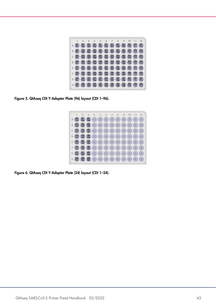

<span id="page-42-0"></span>Figure 5. QIAseq CDI Y-Adapter Plate (96) layout (CDI 1–96).



<span id="page-42-1"></span>Figure 6. QIAseq CDI Y-Adapter Plate (24) layout (CDI 1–24).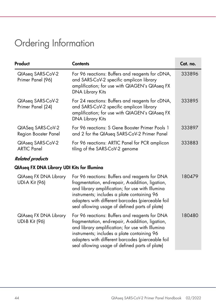# <span id="page-43-0"></span>Ordering Information

| Product                                               | <b>Contents</b>                                                                                                                                                                                                                                                                                              | Cat. no. |
|-------------------------------------------------------|--------------------------------------------------------------------------------------------------------------------------------------------------------------------------------------------------------------------------------------------------------------------------------------------------------------|----------|
| QIAseq SARS-CoV-2<br>Primer Panel (96)                | For 96 reactions: Buffers and reagents for cDNA,<br>and SARS-CoV-2 specific amplicon library<br>amplification; for use with QIAGEN's QIAseq FX<br><b>DNA Library Kits</b>                                                                                                                                    | 333896   |
| QIAseq SARS-CoV-2<br>Primer Panel (24)                | For 24 reactions: Buffers and reagents for cDNA,<br>and SARS-CoV-2 specific amplicon library<br>amplification; for use with QIAGEN's QIAseq FX<br><b>DNA Library Kits</b>                                                                                                                                    | 333895   |
| QIASeq SARS-CoV-2<br>Region Booster Panel             | For 96 reactions: S Gene Booster Primer Pools 1<br>and 2 for the QIAseq SARS-CoV-2 Primer Panel                                                                                                                                                                                                              | 333897   |
| QIAseq SARS-CoV-2<br><b>ARTIC Panel</b>               | For 96 reactions: ARTIC Panel for PCR amplicon<br>tiling of the SARS-CoV-2 genome                                                                                                                                                                                                                            | 333883   |
| <b>Related products</b>                               |                                                                                                                                                                                                                                                                                                              |          |
| QIAseq FX DNA Library UDI Kits for Illumina           |                                                                                                                                                                                                                                                                                                              |          |
| <b>QIAseq FX DNA Library</b><br><b>UDI-A Kit (96)</b> | For 96 reactions: Buffers and reagents for DNA<br>fragmentation, end-repair, A-addition, ligation,<br>and library amplification; for use with Illumina<br>instruments; includes a plate containing 96<br>adapters with different barcodes (pierceable foil<br>seal allowing usage of defined parts of plate) | 180479   |
| <b>QIAseq FX DNA Library</b><br><b>UDI-B Kit (96)</b> | For 96 reactions: Buffers and reagents for DNA<br>fragmentation, end-repair, A-addition, ligation,<br>and library amplification; for use with Illumina<br>instruments; includes a plate containing 96<br>adapters with different barcodes (pierceable foil<br>seal allowing usage of defined parts of plate) | 180480   |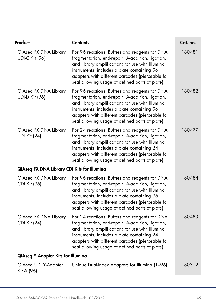| Product                                            | <b>Contents</b>                                                                                                                                                                                                                                                                                              | Cat. no. |
|----------------------------------------------------|--------------------------------------------------------------------------------------------------------------------------------------------------------------------------------------------------------------------------------------------------------------------------------------------------------------|----------|
| QIAseq FX DNA Library<br><b>UDI-C Kit (96)</b>     | For 96 reactions: Buffers and reagents for DNA<br>fragmentation, end-repair, A-addition, ligation,<br>and library amplification; for use with Illumina<br>instruments; includes a plate containing 96<br>adapters with different barcodes (pierceable foil<br>seal allowing usage of defined parts of plate) | 180481   |
| QIAseq FX DNA Library<br><b>UDI-D Kit (96)</b>     | For 96 reactions: Buffers and reagents for DNA<br>fragmentation, end-repair, A-addition, ligation,<br>and library amplification; for use with Illumina<br>instruments; includes a plate containing 96<br>adapters with different barcodes (pierceable foil<br>seal allowing usage of defined parts of plate) | 180482   |
| QIAseq FX DNA Library<br><b>UDI Kit (24)</b>       | For 24 reactions: Buffers and reagents for DNA<br>fragmentation, end-repair, A-addition, ligation,<br>and library amplification; for use with Illumina<br>instruments; includes a plate containing 24<br>adapters with different barcodes (pierceable foil<br>seal allowing usage of defined parts of plate) | 180477   |
| <b>QIAseq FX DNA Library CDI Kits for Illumina</b> |                                                                                                                                                                                                                                                                                                              |          |
| QIAseq FX DNA Library<br>CDI Kit (96)              | For 96 reactions: Buffers and reagents for DNA<br>fragmentation, end-repair, A-addition, ligation,<br>and library amplification; for use with Illumina<br>instruments; includes a plate containing 96<br>adapters with different barcodes (pierceable foil<br>seal allowing usage of defined parts of plate) | 180484   |
| QIAseq FX DNA Library<br><b>CDI Kit (24)</b>       | For 24 reactions: Buffers and reagents for DNA<br>fragmentation, end-repair, A-addition, ligation,<br>and library amplification; for use with Illumina<br>instruments; includes a plate containing 24<br>adapters with different barcodes (pierceable foil<br>seal allowing usage of defined parts of plate) | 180483   |
| <b>QIAseq Y-Adapter Kits for Illumina</b>          |                                                                                                                                                                                                                                                                                                              |          |
| QlAseq UDI Y-Adapter<br>Kit A (96)                 | Unique Dual-Index Adapters for Illumina (1-96)                                                                                                                                                                                                                                                               | 180312   |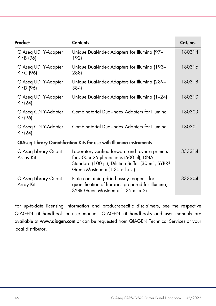| Product                                  | <b>Contents</b>                                                                                                                                                                         | Cat. no. |
|------------------------------------------|-----------------------------------------------------------------------------------------------------------------------------------------------------------------------------------------|----------|
| QlAseq UDI Y-Adapter<br>Kit B (96)       | Unique Dual-Index Adapters for Illumina (97-<br>192)                                                                                                                                    | 180314   |
| QIAseq UDI Y-Adapter<br>Kit C (96)       | Unique Dual-Index Adapters for Illumina (193-<br>288)                                                                                                                                   | 180316   |
| QIAseq UDI Y-Adapter<br>Kit D (96)       | Unique Dual-Index Adapters for Illumina (289-<br>384)                                                                                                                                   | 180318   |
| QIAseq UDI Y-Adapter<br>Kit (24)         | Unique Dual-Index Adapters for Illumina (1-24)                                                                                                                                          | 180310   |
| QlAseq CDI Y-Adapter<br>Kit (96)         | Combinatorial Dual-Index Adapters for Illumina                                                                                                                                          | 180303   |
| QIAseq CDI Y-Adapter<br>Kit (24)         | Combinatorial Dual-Index Adapters for Illumina                                                                                                                                          | 180301   |
|                                          | <b>QIAseq Library Quantification Kits for use with Illumina instruments</b>                                                                                                             |          |
| <b>QlAseq Library Quant</b><br>Assay Kit | Laboratory-verified forward and reverse primers<br>for $500 \times 25$ µl reactions (500 µl); DNA<br>Standard (100 µl); Dilution Buffer (30 ml); SYBR®<br>Green Mastermix (1.35 ml x 5) | 333314   |
| <b>QlAseq Library Quant</b><br>Array Kit | Plate containing dried assay reagents for<br>quantification of libraries prepared for Illumina;<br>SYBR Green Mastermix (1.35 ml x 2)                                                   | 333304   |

For up-to-date licensing information and product-specific disclaimers, see the respective QIAGEN kit handbook or user manual. QIAGEN kit handbooks and user manuals are available at www.qiagen.com or can be requested from QIAGEN Technical Services or your local distributor.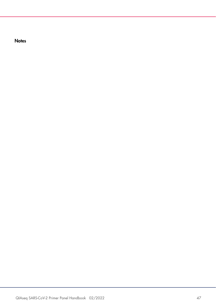**Notes**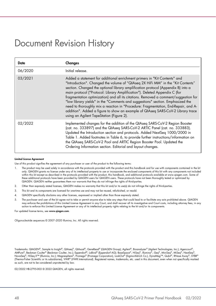### <span id="page-47-0"></span>Document Revision History

| Date    | Changes                                                                                                                                                                                                                                                                                                                                                                                                                                                                                                                                                                                                                                                                                                                      |
|---------|------------------------------------------------------------------------------------------------------------------------------------------------------------------------------------------------------------------------------------------------------------------------------------------------------------------------------------------------------------------------------------------------------------------------------------------------------------------------------------------------------------------------------------------------------------------------------------------------------------------------------------------------------------------------------------------------------------------------------|
| 06/2020 | Initial release.                                                                                                                                                                                                                                                                                                                                                                                                                                                                                                                                                                                                                                                                                                             |
| 03/2021 | Added a statement for additional enrichment primers in "Kit Contents" and<br>"Introduction". Changed the volume of "QIAseq 2X HiFi MM" in the "Kit Contents"<br>section. Changed the optional library amplification protocol (Appendix B) into a<br>main protocol ("Protocol: Library Amplification"). Deleted Appendix C (for<br>fragmentation optimization) and all its citations. Removed a comment/suggestion for<br>"low library yields" in the "Comments and suggestions" section. Emphasized the<br>need to thoroughly mix a reaction in "Procedure: Fragmentation, End-Repair, and A-<br>addition". Added a figure to show an example of QIAseq SARS-CoV-2 Library trace<br>using an Agilent TapeStation (Figure 2). |
| 02/2022 | Implemented changes for the addition of the QIAseq SARS-CoV-2 Region Booster<br>(cat. no. 333897) and the QIAseq SARS-CoV-2 ARTIC Panel (cat. no. 333883).<br>Updated the Introduction section and protocols. Added NextSeq 1000/2000 in<br>Table 1. Added footnotes in Table 6, to provide further instructions/information on<br>the QIAseq SARS-CoV-2 Pool and ARTIC Region Booster Pool. Updated the<br>Ordering Information section. Editorial and layout changes.                                                                                                                                                                                                                                                      |

#### Limited License Agreement

Use of this product signifies the agreement of any purchaser or user of the product to the following terms:

- The product may be used solely in accordance with the protocols provided with the product and this handbook and for use with components contained in the kit only. QIAGEN grants no license under any of its intellectual property to use or incorporate the enclosed components of this kit with any components not included within this kit except as described in the protocols provided with the product, this handbook, and additional protocols available at www.qiagen.com. Some of these additional protocols have been provided by QIAGEN users for QIAGEN users. These protocols have not been thoroughly tested or optimized by QIAGEN. QIAGEN neither guarantees them nor warrants that they do not infringe the rights of third-parties.
- 2. Other than expressly stated licenses, QIAGEN makes no warranty that this kit and/or its use(s) do not infringe the rights of third-parties.
- 3. This kit and its components are licensed for one-time use and may not be reused, refurbished, or resold.
- 4. QIAGEN specifically disclaims any other licenses, expressed or implied other than those expressly stated.
- 5. The purchaser and user of the kit agree not to take or permit anyone else to take any steps that could lead to or facilitate any acts prohibited above. QIAGEN may enforce the prohibitions of this Limited License Agreement in any Court, and shall recover all its investigative and Court costs, including attorney fees, in any action to enforce this Limited License Agreement or any of its intellectual property rights relating to the kit and/or its components.

For updated license terms, see [www.qiagen.com](http://www.qiagen.com/).

Oligonucleotide sequences © 2007–2020 Illumina, Inc. All rights reserved.

Trademarks: QIAGEN®, Sample to Insight®, QIAseq®, QIAxcel®, GeneRead® (QIAGEN Group); Agilent®, Bioanalyzer® (Agilent Technologies, Inc.); Agencourt®, AMPure®, Beckman Coulter® (Beckman Coulter, Inc.); Eppendorf®, LoBind® (Eppendorf AG); BaseSpace®, HiSeq®, Illumina®, iSeq®, MiniSeq®, MiSeq®, NextSeq®, NovaSeq®, HiSeq X™ (Illumina, Inc.); Magnesphere®, Promega® (Promega Corporation), LookOut® (Sigma-Aldrich Co.), DynaMag™, Qubit®, RNase Away®, SYBR® (Thermo-Fisher Scientific or its subsidiaries), VWR® (VWR International). Registered names, trademarks, etc. used in this document, even when not specifically marked as such, are not to be considered unprotected by law.

02/2022 HB-2795-003 © 2022 QIAGEN, all rights reserved.